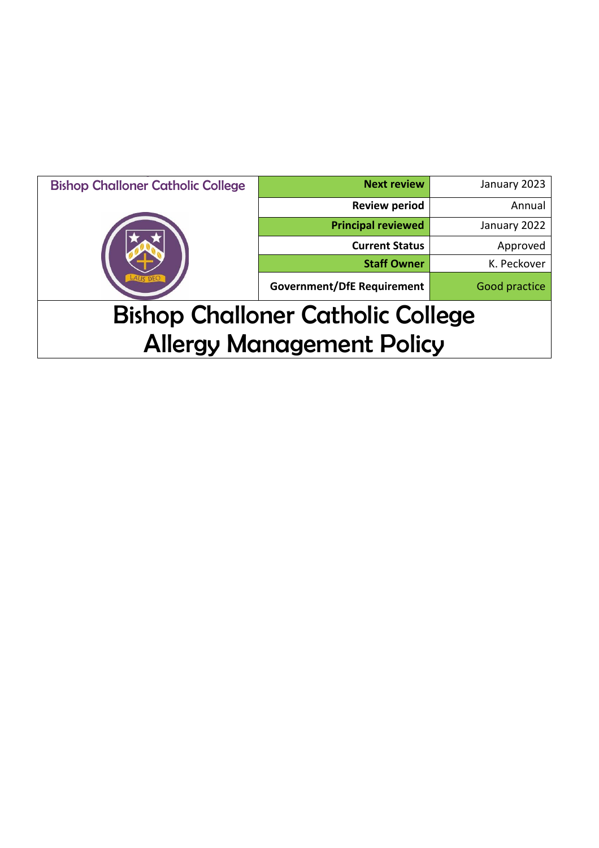| <b>Bishop Challoner Catholic College</b> | <b>Next review</b>                | January 2023  |
|------------------------------------------|-----------------------------------|---------------|
|                                          | <b>Review period</b>              | Annual        |
|                                          | <b>Principal reviewed</b>         | January 2022  |
|                                          | <b>Current Status</b>             | Approved      |
|                                          | <b>Staff Owner</b>                | K. Peckover   |
|                                          | <b>Government/DfE Requirement</b> | Good practice |
| <b>Bishop Challoner Catholic College</b> |                                   |               |
| <b>Allergy Management Policy</b>         |                                   |               |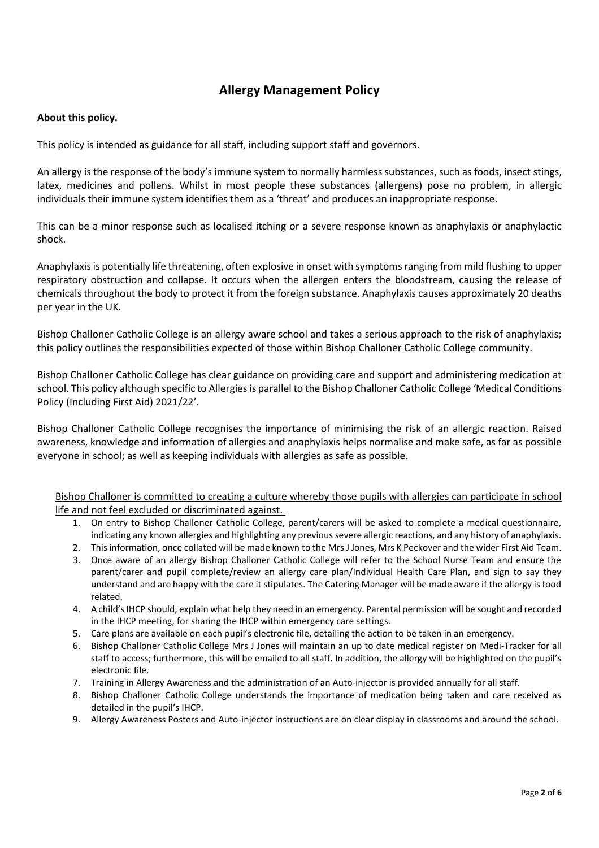# **Allergy Management Policy**

## **About this policy.**

This policy is intended as guidance for all staff, including support staff and governors.

An allergy is the response of the body's immune system to normally harmless substances, such as foods, insect stings, latex, medicines and pollens. Whilst in most people these substances (allergens) pose no problem, in allergic individuals their immune system identifies them as a 'threat' and produces an inappropriate response.

This can be a minor response such as localised itching or a severe response known as anaphylaxis or anaphylactic shock.

Anaphylaxis is potentially life threatening, often explosive in onset with symptoms ranging from mild flushing to upper respiratory obstruction and collapse. It occurs when the allergen enters the bloodstream, causing the release of chemicals throughout the body to protect it from the foreign substance. Anaphylaxis causes approximately 20 deaths per year in the UK.

Bishop Challoner Catholic College is an allergy aware school and takes a serious approach to the risk of anaphylaxis; this policy outlines the responsibilities expected of those within Bishop Challoner Catholic College community.

Bishop Challoner Catholic College has clear guidance on providing care and support and administering medication at school. This policy although specific to Allergies is parallel to the Bishop Challoner Catholic College 'Medical Conditions Policy (Including First Aid) 2021/22'.

Bishop Challoner Catholic College recognises the importance of minimising the risk of an allergic reaction. Raised awareness, knowledge and information of allergies and anaphylaxis helps normalise and make safe, as far as possible everyone in school; as well as keeping individuals with allergies as safe as possible.

Bishop Challoner is committed to creating a culture whereby those pupils with allergies can participate in school life and not feel excluded or discriminated against.

- 1. On entry to Bishop Challoner Catholic College, parent/carers will be asked to complete a medical questionnaire, indicating any known allergies and highlighting any previous severe allergic reactions, and any history of anaphylaxis.
- 2. This information, once collated will be made known to the Mrs J Jones, Mrs K Peckover and the wider First Aid Team.
- 3. Once aware of an allergy Bishop Challoner Catholic College will refer to the School Nurse Team and ensure the parent/carer and pupil complete/review an allergy care plan/Individual Health Care Plan, and sign to say they understand and are happy with the care it stipulates. The Catering Manager will be made aware if the allergy is food related.
- 4. A child's IHCP should, explain what help they need in an emergency. Parental permission will be sought and recorded in the IHCP meeting, for sharing the IHCP within emergency care settings.
- 5. Care plans are available on each pupil's electronic file, detailing the action to be taken in an emergency.
- 6. Bishop Challoner Catholic College Mrs J Jones will maintain an up to date medical register on Medi-Tracker for all staff to access; furthermore, this will be emailed to all staff. In addition, the allergy will be highlighted on the pupil's electronic file.
- 7. Training in Allergy Awareness and the administration of an Auto-injector is provided annually for all staff.
- 8. Bishop Challoner Catholic College understands the importance of medication being taken and care received as detailed in the pupil's IHCP.
- 9. Allergy Awareness Posters and Auto-injector instructions are on clear display in classrooms and around the school.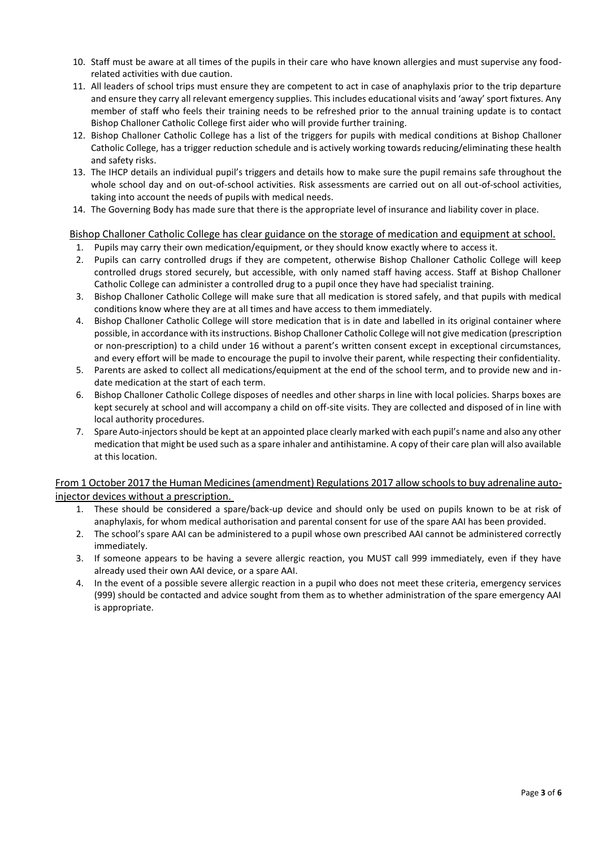- 10. Staff must be aware at all times of the pupils in their care who have known allergies and must supervise any foodrelated activities with due caution.
- 11. All leaders of school trips must ensure they are competent to act in case of anaphylaxis prior to the trip departure and ensure they carry all relevant emergency supplies. This includes educational visits and 'away' sport fixtures. Any member of staff who feels their training needs to be refreshed prior to the annual training update is to contact Bishop Challoner Catholic College first aider who will provide further training.
- 12. Bishop Challoner Catholic College has a list of the triggers for pupils with medical conditions at Bishop Challoner Catholic College, has a trigger reduction schedule and is actively working towards reducing/eliminating these health and safety risks.
- 13. The IHCP details an individual pupil's triggers and details how to make sure the pupil remains safe throughout the whole school day and on out-of-school activities. Risk assessments are carried out on all out-of-school activities, taking into account the needs of pupils with medical needs.
- 14. The Governing Body has made sure that there is the appropriate level of insurance and liability cover in place.

#### Bishop Challoner Catholic College has clear guidance on the storage of medication and equipment at school.

- 1. Pupils may carry their own medication/equipment, or they should know exactly where to access it.
- 2. Pupils can carry controlled drugs if they are competent, otherwise Bishop Challoner Catholic College will keep controlled drugs stored securely, but accessible, with only named staff having access. Staff at Bishop Challoner Catholic College can administer a controlled drug to a pupil once they have had specialist training.
- 3. Bishop Challoner Catholic College will make sure that all medication is stored safely, and that pupils with medical conditions know where they are at all times and have access to them immediately.
- 4. Bishop Challoner Catholic College will store medication that is in date and labelled in its original container where possible, in accordance with its instructions. Bishop Challoner Catholic College will not give medication (prescription or non-prescription) to a child under 16 without a parent's written consent except in exceptional circumstances, and every effort will be made to encourage the pupil to involve their parent, while respecting their confidentiality.
- 5. Parents are asked to collect all medications/equipment at the end of the school term, and to provide new and indate medication at the start of each term.
- 6. Bishop Challoner Catholic College disposes of needles and other sharps in line with local policies. Sharps boxes are kept securely at school and will accompany a child on off-site visits. They are collected and disposed of in line with local authority procedures.
- 7. Spare Auto-injectors should be kept at an appointed place clearly marked with each pupil's name and also any other medication that might be used such as a spare inhaler and antihistamine. A copy of their care plan will also available at this location.

## From 1 October 2017 the Human Medicines (amendment) Regulations 2017 allow schools to buy adrenaline autoinjector devices without a prescription.

- 1. These should be considered a spare/back-up device and should only be used on pupils known to be at risk of anaphylaxis, for whom medical authorisation and parental consent for use of the spare AAI has been provided.
- 2. The school's spare AAI can be administered to a pupil whose own prescribed AAI cannot be administered correctly immediately.
- 3. If someone appears to be having a severe allergic reaction, you MUST call 999 immediately, even if they have already used their own AAI device, or a spare AAI.
- 4. In the event of a possible severe allergic reaction in a pupil who does not meet these criteria, emergency services (999) should be contacted and advice sought from them as to whether administration of the spare emergency AAI is appropriate.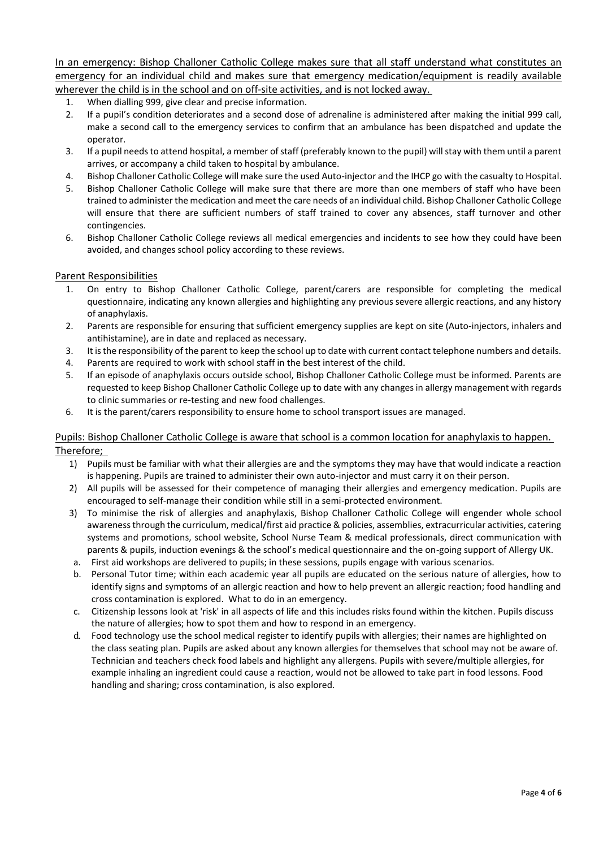In an emergency: Bishop Challoner Catholic College makes sure that all staff understand what constitutes an emergency for an individual child and makes sure that emergency medication/equipment is readily available wherever the child is in the school and on off-site activities, and is not locked away.

- 1. When dialling 999, give clear and precise information.
- 2. If a pupil's condition deteriorates and a second dose of adrenaline is administered after making the initial 999 call, make a second call to the emergency services to confirm that an ambulance has been dispatched and update the operator.
- 3. If a pupil needs to attend hospital, a member of staff (preferably known to the pupil) will stay with them until a parent arrives, or accompany a child taken to hospital by ambulance.
- 4. Bishop Challoner Catholic College will make sure the used Auto-injector and the IHCP go with the casualty to Hospital.
- 5. Bishop Challoner Catholic College will make sure that there are more than one members of staff who have been trained to administer the medication and meet the care needs of an individual child. Bishop Challoner Catholic College will ensure that there are sufficient numbers of staff trained to cover any absences, staff turnover and other contingencies.
- 6. Bishop Challoner Catholic College reviews all medical emergencies and incidents to see how they could have been avoided, and changes school policy according to these reviews.

#### Parent Responsibilities

- 1. On entry to Bishop Challoner Catholic College, parent/carers are responsible for completing the medical questionnaire, indicating any known allergies and highlighting any previous severe allergic reactions, and any history of anaphylaxis.
- 2. Parents are responsible for ensuring that sufficient emergency supplies are kept on site (Auto-injectors, inhalers and antihistamine), are in date and replaced as necessary.
- 3. It is the responsibility of the parent to keep the school up to date with current contact telephone numbers and details.
- 4. Parents are required to work with school staff in the best interest of the child.
- 5. If an episode of anaphylaxis occurs outside school, Bishop Challoner Catholic College must be informed. Parents are requested to keep Bishop Challoner Catholic College up to date with any changes in allergy management with regards to clinic summaries or re-testing and new food challenges.
- 6. It is the parent/carers responsibility to ensure home to school transport issues are managed.

#### Pupils: Bishop Challoner Catholic College is aware that school is a common location for anaphylaxis to happen. Therefore;

- 1) Pupils must be familiar with what their allergies are and the symptoms they may have that would indicate a reaction is happening. Pupils are trained to administer their own auto-injector and must carry it on their person.
- 2) All pupils will be assessed for their competence of managing their allergies and emergency medication. Pupils are encouraged to self-manage their condition while still in a semi-protected environment.
- 3) To minimise the risk of allergies and anaphylaxis, Bishop Challoner Catholic College will engender whole school awareness through the curriculum, medical/first aid practice & policies, assemblies, extracurricular activities, catering systems and promotions, school website, School Nurse Team & medical professionals, direct communication with parents & pupils, induction evenings & the school's medical questionnaire and the on-going support of Allergy UK.
- a. First aid workshops are delivered to pupils; in these sessions, pupils engage with various scenarios.
- b. Personal Tutor time; within each academic year all pupils are educated on the serious nature of allergies, how to identify signs and symptoms of an allergic reaction and how to help prevent an allergic reaction; food handling and cross contamination is explored. What to do in an emergency.
- c. Citizenship lessons look at 'risk' in all aspects of life and this includes risks found within the kitchen. Pupils discuss the nature of allergies; how to spot them and how to respond in an emergency.
- d. Food technology use the school medical register to identify pupils with allergies; their names are highlighted on the class seating plan. Pupils are asked about any known allergies for themselves that school may not be aware of. Technician and teachers check food labels and highlight any allergens. Pupils with severe/multiple allergies, for example inhaling an ingredient could cause a reaction, would not be allowed to take part in food lessons. Food handling and sharing; cross contamination, is also explored.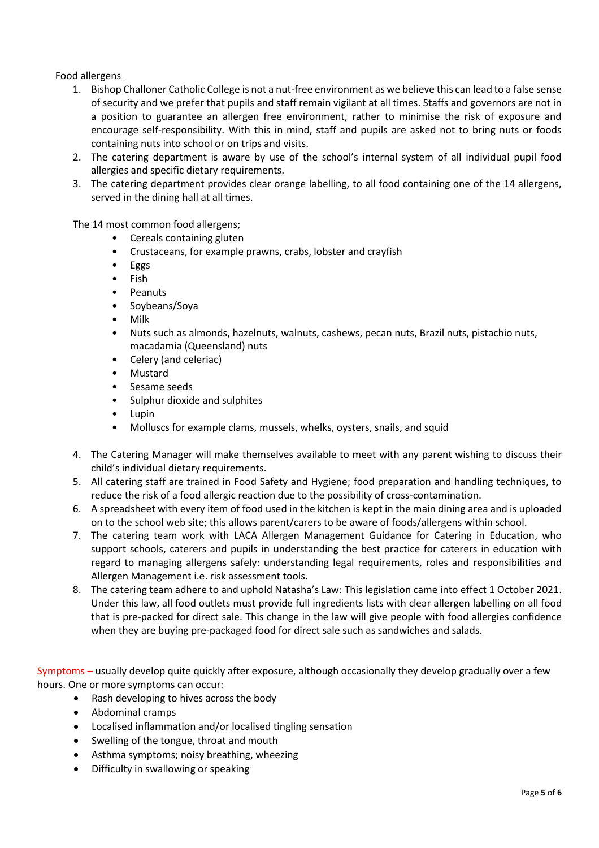# Food allergens

- 1. Bishop Challoner Catholic College is not a nut-free environment as we believe this can lead to a false sense of security and we prefer that pupils and staff remain vigilant at all times. Staffs and governors are not in a position to guarantee an allergen free environment, rather to minimise the risk of exposure and encourage self-responsibility. With this in mind, staff and pupils are asked not to bring nuts or foods containing nuts into school or on trips and visits.
- 2. The catering department is aware by use of the school's internal system of all individual pupil food allergies and specific dietary requirements.
- 3. The catering department provides clear orange labelling, to all food containing one of the 14 allergens, served in the dining hall at all times.

The 14 most common food allergens;

- Cereals containing gluten
- Crustaceans, for example prawns, crabs, lobster and crayfish
- Eggs
- Fish
- Peanuts
- Soybeans/Soya
- Milk
- Nuts such as almonds, hazelnuts, walnuts, cashews, pecan nuts, Brazil nuts, pistachio nuts, macadamia (Queensland) nuts
- Celery (and celeriac)
- Mustard
- Sesame seeds
- Sulphur dioxide and sulphites
- Lupin
- Molluscs for example clams, mussels, whelks, oysters, snails, and squid
- 4. The Catering Manager will make themselves available to meet with any parent wishing to discuss their child's individual dietary requirements.
- 5. All catering staff are trained in Food Safety and Hygiene; food preparation and handling techniques, to reduce the risk of a food allergic reaction due to the possibility of cross-contamination.
- 6. A spreadsheet with every item of food used in the kitchen is kept in the main dining area and is uploaded on to the school web site; this allows parent/carers to be aware of foods/allergens within school.
- 7. The catering team work with LACA Allergen Management Guidance for Catering in Education, who support schools, caterers and pupils in understanding the best practice for caterers in education with regard to managing allergens safely: understanding legal requirements, roles and responsibilities and Allergen Management i.e. risk assessment tools.
- 8. The catering team adhere to and uphold Natasha's Law: This legislation came into effect 1 October 2021. Under this law, all food outlets must provide full ingredients lists with clear allergen labelling on all food that is pre-packed for direct sale. This change in the law will give people with food allergies confidence when they are buying pre-packaged food for direct sale such as sandwiches and salads.

Symptoms – usually develop quite quickly after exposure, although occasionally they develop gradually over a few hours. One or more symptoms can occur:

- Rash developing to hives across the body
- Abdominal cramps
- Localised inflammation and/or localised tingling sensation
- Swelling of the tongue, throat and mouth
- Asthma symptoms; noisy breathing, wheezing
- Difficulty in swallowing or speaking